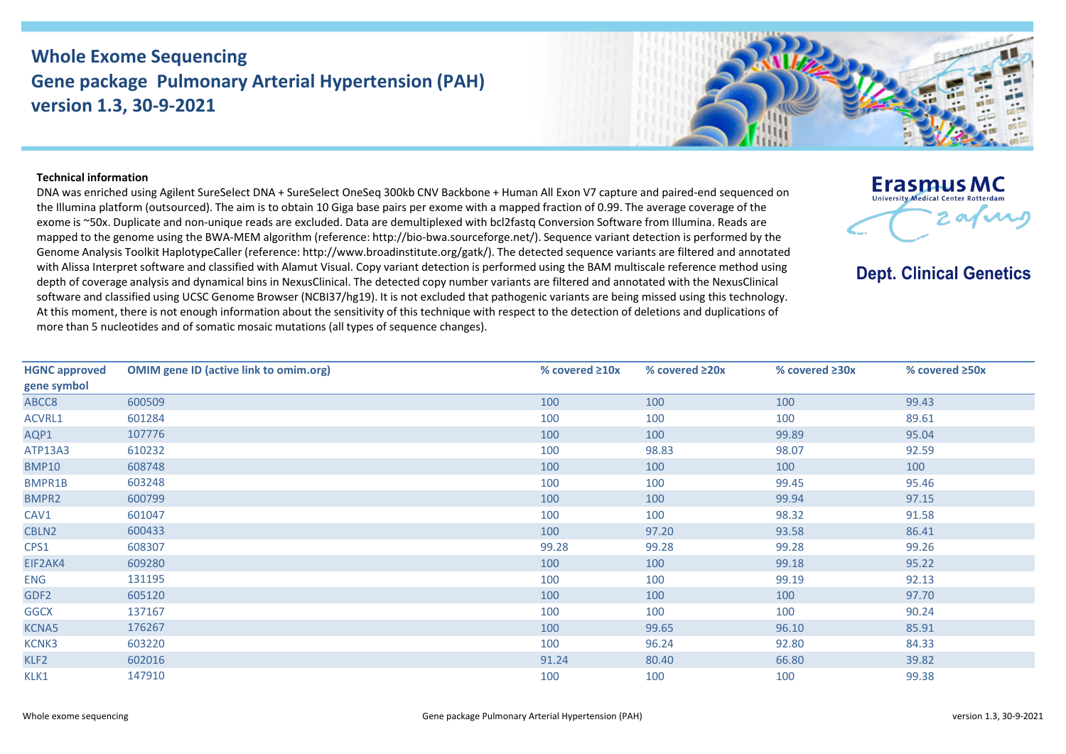## **Whole Exome Sequencing Gene package Pulmonary Arterial Hypertension (PAH) version 1.3, 30-9-2021**



## **Technical information**

DNA was enriched using Agilent SureSelect DNA + SureSelect OneSeq 300kb CNV Backbone + Human All Exon V7 capture and paired-end sequenced on the Illumina platform (outsourced). The aim is to obtain 10 Giga base pairs per exome with a mapped fraction of 0.99. The average coverage of the exome is ~50x. Duplicate and non-unique reads are excluded. Data are demultiplexed with bcl2fastq Conversion Software from Illumina. Reads are mapped to the genome using the BWA-MEM algorithm (reference: http://bio-bwa.sourceforge.net/). Sequence variant detection is performed by the Genome Analysis Toolkit HaplotypeCaller (reference: http://www.broadinstitute.org/gatk/). The detected sequence variants are filtered and annotated with Alissa Interpret software and classified with Alamut Visual. Copy variant detection is performed using the BAM multiscale reference method using depth of coverage analysis and dynamical bins in NexusClinical. The detected copy number variants are filtered and annotated with the NexusClinical software and classified using UCSC Genome Browser (NCBI37/hg19). It is not excluded that pathogenic variants are being missed using this technology. At this moment, there is not enough information about the sensitivity of this technique with respect to the detection of deletions and duplications of more than 5 nucleotides and of somatic mosaic mutations (all types of sequence changes).



**Dept. Clinical Genetics** 

| <b>HGNC approved</b> | <b>OMIM gene ID (active link to omim.org)</b> | % covered $\geq 10x$ | % covered $\geq 20x$ | % covered ≥30x | % covered ≥50x |
|----------------------|-----------------------------------------------|----------------------|----------------------|----------------|----------------|
| gene symbol          |                                               |                      |                      |                |                |
| ABCC8                | 600509                                        | 100                  | 100                  | 100            | 99.43          |
| ACVRL1               | 601284                                        | 100                  | 100                  | 100            | 89.61          |
| AQP1                 | 107776                                        | 100                  | 100                  | 99.89          | 95.04          |
| ATP13A3              | 610232                                        | 100                  | 98.83                | 98.07          | 92.59          |
| <b>BMP10</b>         | 608748                                        | 100                  | 100                  | 100            | 100            |
| BMPR1B               | 603248                                        | 100                  | 100                  | 99.45          | 95.46          |
| <b>BMPR2</b>         | 600799                                        | 100                  | 100                  | 99.94          | 97.15          |
| CAV1                 | 601047                                        | 100                  | 100                  | 98.32          | 91.58          |
| CBLN2                | 600433                                        | 100                  | 97.20                | 93.58          | 86.41          |
| CPS1                 | 608307                                        | 99.28                | 99.28                | 99.28          | 99.26          |
| EIF2AK4              | 609280                                        | 100                  | 100                  | 99.18          | 95.22          |
| <b>ENG</b>           | 131195                                        | 100                  | 100                  | 99.19          | 92.13          |
| GDF <sub>2</sub>     | 605120                                        | 100                  | 100                  | 100            | 97.70          |
| <b>GGCX</b>          | 137167                                        | 100                  | 100                  | 100            | 90.24          |
| <b>KCNA5</b>         | 176267                                        | 100                  | 99.65                | 96.10          | 85.91          |
| KCNK3                | 603220                                        | 100                  | 96.24                | 92.80          | 84.33          |
| KLF2                 | 602016                                        | 91.24                | 80.40                | 66.80          | 39.82          |
| KLK1                 | 147910                                        | 100                  | 100                  | 100            | 99.38          |